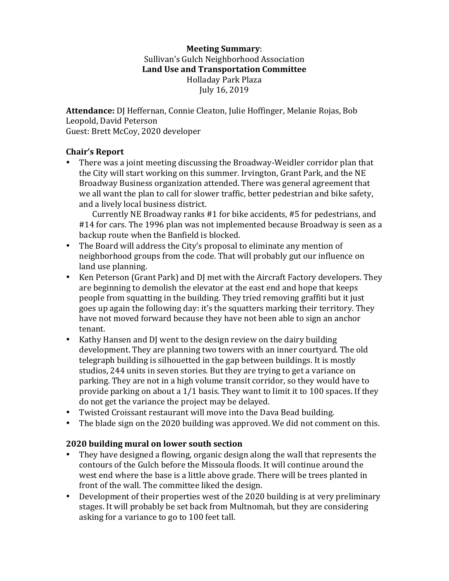## **Meeting Summary**: Sullivan's Gulch Neighborhood Association Land Use and Transportation Committee Holladay Park Plaza July 16, 2019

Attendance: DJ Heffernan, Connie Cleaton, Julie Hoffinger, Melanie Rojas, Bob Leopold, David Peterson Guest: Brett McCoy, 2020 developer

## **Chair's Report**

• There was a joint meeting discussing the Broadway-Weidler corridor plan that the City will start working on this summer. Irvington, Grant Park, and the NE Broadway Business organization attended. There was general agreement that we all want the plan to call for slower traffic, better pedestrian and bike safety, and a lively local business district.

Currently NE Broadway ranks #1 for bike accidents, #5 for pedestrians, and #14 for cars. The 1996 plan was not implemented because Broadway is seen as a backup route when the Banfield is blocked.

- The Board will address the City's proposal to eliminate any mention of neighborhood groups from the code. That will probably gut our influence on land use planning.
- Ken Peterson (Grant Park) and DJ met with the Aircraft Factory developers. They are beginning to demolish the elevator at the east end and hope that keeps people from squatting in the building. They tried removing graffiti but it just goes up again the following day: it's the squatters marking their territory. They have not moved forward because they have not been able to sign an anchor tenant.
- Kathy Hansen and DJ went to the design review on the dairy building development. They are planning two towers with an inner courtyard. The old telegraph building is silhouetted in the gap between buildings. It is mostly studios, 244 units in seven stories. But they are trying to get a variance on parking. They are not in a high volume transit corridor, so they would have to provide parking on about a  $1/1$  basis. They want to limit it to 100 spaces. If they do not get the variance the project may be delayed.
- Twisted Croissant restaurant will move into the Dava Bead building.
- The blade sign on the 2020 building was approved. We did not comment on this.

## **2020 building mural on lower south section**

- They have designed a flowing, organic design along the wall that represents the contours of the Gulch before the Missoula floods. It will continue around the west end where the base is a little above grade. There will be trees planted in front of the wall. The committee liked the design.
- Development of their properties west of the 2020 building is at very preliminary stages. It will probably be set back from Multnomah, but they are considering asking for a variance to go to 100 feet tall.